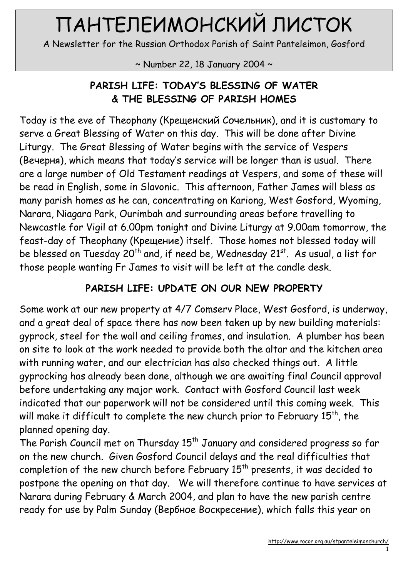# ПАНТЕЛЕИМОНСКИЙ ЛИСТОК

A Newsletter for the Russian Orthodox Parish of Saint Panteleimon, Gosford

 $\sim$  Number 22, 18 January 2004  $\sim$ 

### PARISH LIFE: TODAY'S BLESSING OF WATER & THE BLESSING OF PARISH HOMES

Today is the eve of Theophany (Крещенский Сочельник), and it is customary to serve a Great Blessing of Water on this day. This will be done after Divine Liturgy. The Great Blessing of Water begins with the service of Vespers (Вечерня), which means that today's service will be longer than is usual. There are a large number of Old Testament readings at Vespers, and some of these will be read in English, some in Slavonic. This afternoon, Father James will bless as many parish homes as he can, concentrating on Kariong, West Gosford, Wyoming, Narara, Niagara Park, Ourimbah and surrounding areas before travelling to Newcastle for Vigil at 6.00pm tonight and Divine Liturgy at 9.00am tomorrow, the feast-day of Theophany (Крещение) itself. Those homes not blessed today will be blessed on Tuesday 20<sup>th</sup> and, if need be, Wednesday 21 $^{st}$ . As usual, a list for those people wanting Fr James to visit will be left at the candle desk.

#### PARISH LIFE: UPDATE ON OUR NEW PROPERTY

Some work at our new property at 4/7 Comserv Place, West Gosford, is underway, and a great deal of space there has now been taken up by new building materials: gyprock, steel for the wall and ceiling frames, and insulation. A plumber has been on site to look at the work needed to provide both the altar and the kitchen area with running water, and our electrician has also checked things out. A little gyprocking has already been done, although we are awaiting final Council approval before undertaking any major work. Contact with Gosford Council last week indicated that our paperwork will not be considered until this coming week. This will make it difficult to complete the new church prior to February 15<sup>th</sup>, the planned opening day.

The Parish Council met on Thursday 15<sup>th</sup> January and considered progress so far on the new church. Given Gosford Council delays and the real difficulties that completion of the new church before February  $15<sup>th</sup>$  presents, it was decided to postpone the opening on that day. We will therefore continue to have services at Narara during February & March 2004, and plan to have the new parish centre ready for use by Palm Sunday (Вербное Воскресение), which falls this year on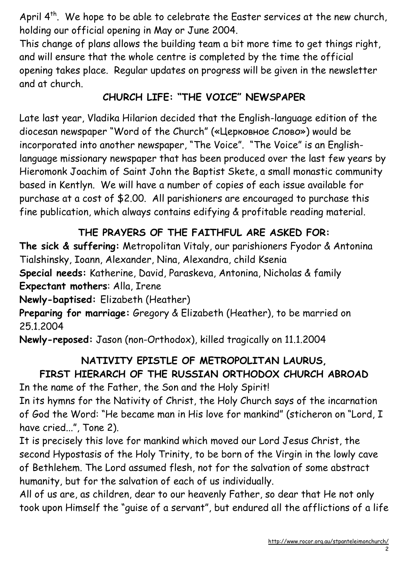April  $4^{th}$ . We hope to be able to celebrate the Easter services at the new church, holding our official opening in May or June 2004.

This change of plans allows the building team a bit more time to get things right, and will ensure that the whole centre is completed by the time the official opening takes place. Regular updates on progress will be given in the newsletter and at church.

### CHURCH LIFE: "THE VOICE" NEWSPAPER

Late last year, Vladika Hilarion decided that the English-language edition of the diocesan newspaper "Word of the Church" («Церковное Слово») would be incorporated into another newspaper, "The Voice". "The Voice" is an Englishlanguage missionary newspaper that has been produced over the last few years by Hieromonk Joachim of Saint John the Baptist Skete, a small monastic community based in Kentlyn. We will have a number of copies of each issue available for purchase at a cost of \$2.00. All parishioners are encouraged to purchase this fine publication, which always contains edifying & profitable reading material.

### THE PRAYERS OF THE FAITHFUL ARE ASKED FOR:

The sick & suffering: Metropolitan Vitaly, our parishioners Fyodor & Antonina Tialshinsky, Ioann, Alexander, Nina, Alexandra, child Ksenia Special needs: Katherine, David, Paraskeva, Antonina, Nicholas & family

Expectant mothers: Alla, Irene

Newly-baptised: Elizabeth (Heather)

Preparing for marriage: Gregory & Elizabeth (Heather), to be married on 25.1.2004

Newly-reposed: Jason (non-Orthodox), killed tragically on 11.1.2004

## NATIVITY EPISTLE OF METROPOLITAN LAURUS, FIRST HIERARCH OF THE RUSSIAN ORTHODOX CHURCH ABROAD

In the name of the Father, the Son and the Holy Spirit!

In its hymns for the Nativity of Christ, the Holy Church says of the incarnation of God the Word: "He became man in His love for mankind" (sticheron on "Lord, I have cried...", Tone 2).

It is precisely this love for mankind which moved our Lord Jesus Christ, the second Hypostasis of the Holy Trinity, to be born of the Virgin in the lowly cave of Bethlehem. The Lord assumed flesh, not for the salvation of some abstract humanity, but for the salvation of each of us individually.

All of us are, as children, dear to our heavenly Father, so dear that He not only took upon Himself the "guise of a servant", but endured all the afflictions of a life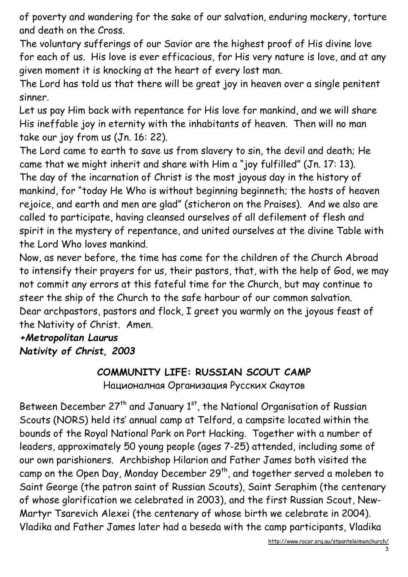of poverty and wandering for the sake of our salvation, enduring mockery, torture and death on the Cross.

The voluntary sufferings of our Savior are the highest proof of His divine love for each of us. His love is ever efficacious, for His very nature is love, and at any given moment it is knocking at the heart of every lost man.

The Lord has told us that there will be great joy in heaven over a single penitent sinner.

Let us pay Him back with repentance for His love for mankind, and we will share His ineffable joy in eternity with the inhabitants of heaven. Then will no man take our joy from us (Jn. 16: 22).

The Lord came to earth to save us from slavery to sin, the devil and death; He came that we might inherit and share with Him a "joy fulfilled" (Jn. 17: 13). The day of the incarnation of Christ is the most joyous day in the history of mankind, for "today He Who is without beginning beginneth; the hosts of heaven rejoice, and earth and men are glad" (sticheron on the Praises). And we also are called to participate, having cleansed ourselves of all defilement of flesh and spirit in the mystery of repentance, and united ourselves at the divine Table with the Lord Who loves mankind.

Now, as never before, the time has come for the children of the Church Abroad to intensify their prayers for us, their pastors, that, with the help of God, we may not commit any errors at this fateful time for the Church, but may continue to steer the ship of the Church to the safe harbour of our common salvation. Dear archpastors, pastors and flock, I greet you warmly on the joyous feast of the Nativity of Christ. Amen.

#### +Metropolitan Laurus Nativity of Christ, 2003

#### COMMUNITY LIFE: RUSSIAN SCOUT CAMP

Националная Организация Русских Скаутов

Between December  $27<sup>th</sup>$  and January  $1<sup>st</sup>$ , the National Organisation of Russian Scouts (NORS) held its' annual camp at Telford, a campsite located within the bounds of the Royal National Park on Port Hacking. Together with a number of leaders, approximately 50 young people (ages 7-25) attended, including some of our own parishioners. Archbishop Hilarion and Father James both visited the camp on the Open Day, Monday December 29<sup>th</sup>, and together served a moleben to Saint George (the patron saint of Russian Scouts), Saint Seraphim (the centenary of whose glorification we celebrated in 2003), and the first Russian Scout, New-Martyr Tsarevich Alexei (the centenary of whose birth we celebrate in 2004). Vladika and Father James later had a beseda with the camp participants, Vladika